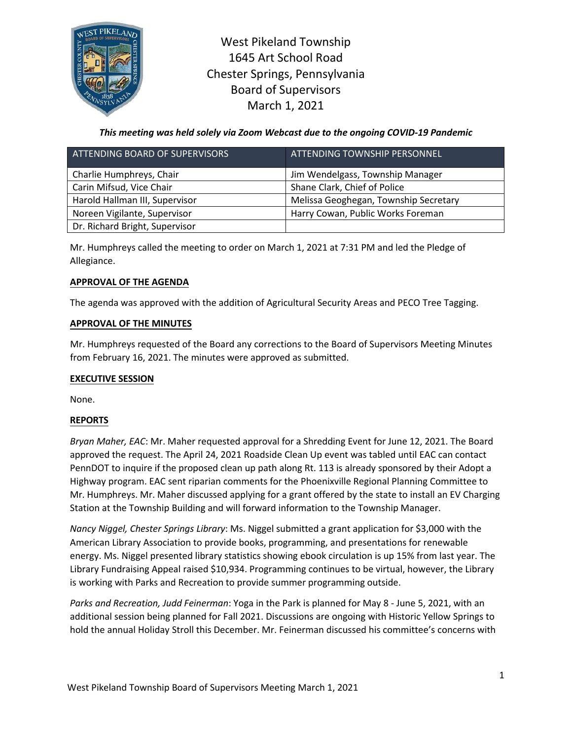

West Pikeland Township 1645 Art School Road Chester Springs, Pennsylvania Board of Supervisors March 1, 2021

*This meeting was held solely via Zoom Webcast due to the ongoing COVID-19 Pandemic*

| ATTENDING BOARD OF SUPERVISORS | ATTENDING TOWNSHIP PERSONNEL          |
|--------------------------------|---------------------------------------|
| Charlie Humphreys, Chair       | Jim Wendelgass, Township Manager      |
| Carin Mifsud, Vice Chair       | Shane Clark, Chief of Police          |
| Harold Hallman III, Supervisor | Melissa Geoghegan, Township Secretary |
| Noreen Vigilante, Supervisor   | Harry Cowan, Public Works Foreman     |
| Dr. Richard Bright, Supervisor |                                       |

Mr. Humphreys called the meeting to order on March 1, 2021 at 7:31 PM and led the Pledge of Allegiance.

## **APPROVAL OF THE AGENDA**

The agenda was approved with the addition of Agricultural Security Areas and PECO Tree Tagging.

# **APPROVAL OF THE MINUTES**

Mr. Humphreys requested of the Board any corrections to the Board of Supervisors Meeting Minutes from February 16, 2021. The minutes were approved as submitted.

## **EXECUTIVE SESSION**

None.

# **REPORTS**

*Bryan Maher, EAC*: Mr. Maher requested approval for a Shredding Event for June 12, 2021. The Board approved the request. The April 24, 2021 Roadside Clean Up event was tabled until EAC can contact PennDOT to inquire if the proposed clean up path along Rt. 113 is already sponsored by their Adopt a Highway program. EAC sent riparian comments for the Phoenixville Regional Planning Committee to Mr. Humphreys. Mr. Maher discussed applying for a grant offered by the state to install an EV Charging Station at the Township Building and will forward information to the Township Manager.

*Nancy Niggel, Chester Springs Library*: Ms. Niggel submitted a grant application for \$3,000 with the American Library Association to provide books, programming, and presentations for renewable energy. Ms. Niggel presented library statistics showing ebook circulation is up 15% from last year. The Library Fundraising Appeal raised \$10,934. Programming continues to be virtual, however, the Library is working with Parks and Recreation to provide summer programming outside.

*Parks and Recreation, Judd Feinerman*: Yoga in the Park is planned for May 8 - June 5, 2021, with an additional session being planned for Fall 2021. Discussions are ongoing with Historic Yellow Springs to hold the annual Holiday Stroll this December. Mr. Feinerman discussed his committee's concerns with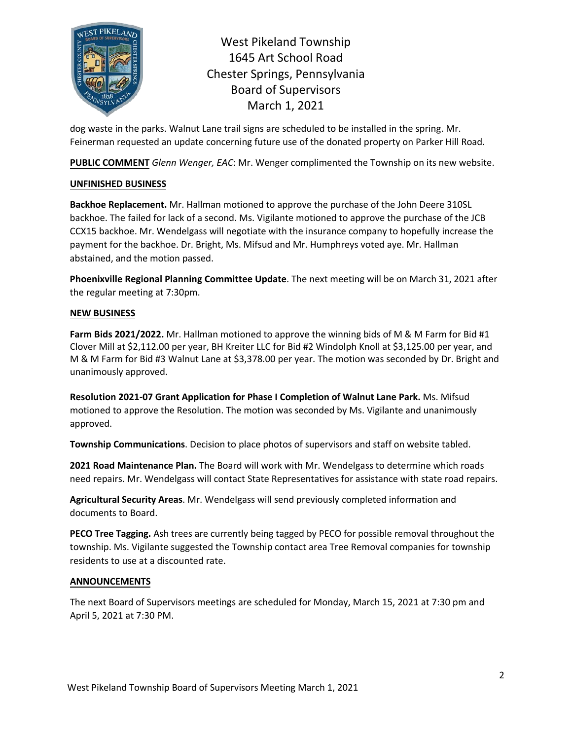

West Pikeland Township 1645 Art School Road Chester Springs, Pennsylvania Board of Supervisors March 1, 2021

dog waste in the parks. Walnut Lane trail signs are scheduled to be installed in the spring. Mr. Feinerman requested an update concerning future use of the donated property on Parker Hill Road.

**PUBLIC COMMENT** *Glenn Wenger, EAC*: Mr. Wenger complimented the Township on its new website.

## **UNFINISHED BUSINESS**

**Backhoe Replacement.** Mr. Hallman motioned to approve the purchase of the John Deere 310SL backhoe. The failed for lack of a second. Ms. Vigilante motioned to approve the purchase of the JCB CCX15 backhoe. Mr. Wendelgass will negotiate with the insurance company to hopefully increase the payment for the backhoe. Dr. Bright, Ms. Mifsud and Mr. Humphreys voted aye. Mr. Hallman abstained, and the motion passed.

**Phoenixville Regional Planning Committee Update**. The next meeting will be on March 31, 2021 after the regular meeting at 7:30pm.

# **NEW BUSINESS**

**Farm Bids 2021/2022.** Mr. Hallman motioned to approve the winning bids of M & M Farm for Bid #1 Clover Mill at \$2,112.00 per year, BH Kreiter LLC for Bid #2 Windolph Knoll at \$3,125.00 per year, and M & M Farm for Bid #3 Walnut Lane at \$3,378.00 per year. The motion was seconded by Dr. Bright and unanimously approved.

**Resolution 2021-07 Grant Application for Phase I Completion of Walnut Lane Park.** Ms. Mifsud motioned to approve the Resolution. The motion was seconded by Ms. Vigilante and unanimously approved.

**Township Communications**. Decision to place photos of supervisors and staff on website tabled.

**2021 Road Maintenance Plan.** The Board will work with Mr. Wendelgass to determine which roads need repairs. Mr. Wendelgass will contact State Representatives for assistance with state road repairs.

**Agricultural Security Areas**. Mr. Wendelgass will send previously completed information and documents to Board.

**PECO Tree Tagging.** Ash trees are currently being tagged by PECO for possible removal throughout the township. Ms. Vigilante suggested the Township contact area Tree Removal companies for township residents to use at a discounted rate.

## **ANNOUNCEMENTS**

The next Board of Supervisors meetings are scheduled for Monday, March 15, 2021 at 7:30 pm and April 5, 2021 at 7:30 PM.